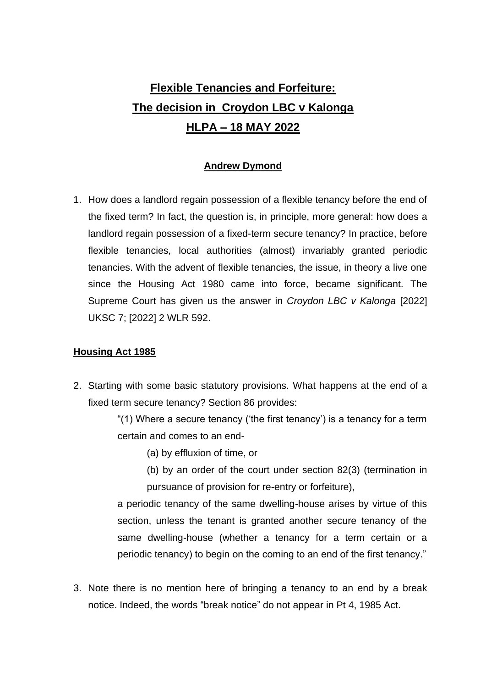# **Flexible Tenancies and Forfeiture: The decision in Croydon LBC v Kalonga HLPA – 18 MAY 2022**

# **Andrew Dymond**

1. How does a landlord regain possession of a flexible tenancy before the end of the fixed term? In fact, the question is, in principle, more general: how does a landlord regain possession of a fixed-term secure tenancy? In practice, before flexible tenancies, local authorities (almost) invariably granted periodic tenancies. With the advent of flexible tenancies, the issue, in theory a live one since the Housing Act 1980 came into force, became significant. The Supreme Court has given us the answer in *Croydon LBC v Kalonga* [2022] UKSC 7; [2022] 2 WLR 592.

# **Housing Act 1985**

2. Starting with some basic statutory provisions. What happens at the end of a fixed term secure tenancy? Section 86 provides:

> "(1) Where a secure tenancy ('the first tenancy') is a tenancy for a term certain and comes to an end-

- (a) by effluxion of time, or
- (b) by an order of the court under section 82(3) (termination in pursuance of provision for re-entry or forfeiture),

a periodic tenancy of the same dwelling-house arises by virtue of this section, unless the tenant is granted another secure tenancy of the same dwelling-house (whether a tenancy for a term certain or a periodic tenancy) to begin on the coming to an end of the first tenancy."

3. Note there is no mention here of bringing a tenancy to an end by a break notice. Indeed, the words "break notice" do not appear in Pt 4, 1985 Act.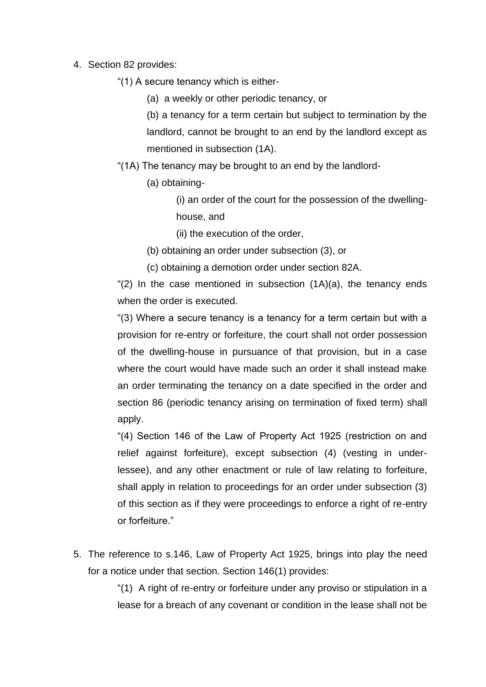- 4. Section 82 provides:
	- "(1) A secure tenancy which is either-
		- (a) a weekly or other periodic tenancy, or

(b) a tenancy for a term certain but subject to termination by the landlord, cannot be brought to an end by the landlord except as mentioned in subsection (1A).

- "(1A) The tenancy may be brought to an end by the landlord-
	- (a) obtaining-

(i) an order of the court for the possession of the dwellinghouse, and

- (ii) the execution of the order,
- (b) obtaining an order under subsection (3), or
- (c) obtaining a demotion order under section 82A.

" $(2)$  In the case mentioned in subsection  $(1A)(a)$ , the tenancy ends when the order is executed.

"(3) Where a secure tenancy is a tenancy for a term certain but with a provision for re-entry or forfeiture, the court shall not order possession of the dwelling-house in pursuance of that provision, but in a case where the court would have made such an order it shall instead make an order terminating the tenancy on a date specified in the order and section 86 (periodic tenancy arising on termination of fixed term) shall apply.

"(4) Section 146 of the Law of Property Act 1925 (restriction on and relief against forfeiture), except subsection (4) (vesting in underlessee), and any other enactment or rule of law relating to forfeiture, shall apply in relation to proceedings for an order under subsection (3) of this section as if they were proceedings to enforce a right of re-entry or forfeiture."

5. The reference to s.146, Law of Property Act 1925, brings into play the need for a notice under that section. Section 146(1) provides:

> "(1) A right of re-entry or forfeiture under any proviso or stipulation in a lease for a breach of any covenant or condition in the lease shall not be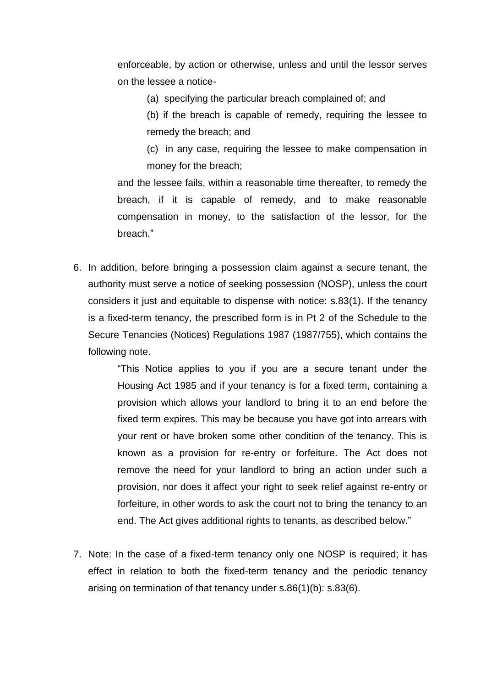enforceable, by action or otherwise, unless and until the lessor serves on the lessee a notice-

(a) specifying the particular breach complained of; and

(b) if the breach is capable of remedy, requiring the lessee to remedy the breach; and

(c) in any case, requiring the lessee to make compensation in money for the breach;

and the lessee fails, within a reasonable time thereafter, to remedy the breach, if it is capable of remedy, and to make reasonable compensation in money, to the satisfaction of the lessor, for the breach."

6. In addition, before bringing a possession claim against a secure tenant, the authority must serve a notice of seeking possession (NOSP), unless the court considers it just and equitable to dispense with notice: s.83(1). If the tenancy is a fixed-term tenancy, the prescribed form is in Pt 2 of the Schedule to the Secure Tenancies (Notices) Regulations 1987 (1987/755), which contains the following note.

> "This Notice applies to you if you are a secure tenant under the Housing Act 1985 and if your tenancy is for a fixed term, containing a provision which allows your landlord to bring it to an end before the fixed term expires. This may be because you have got into arrears with your rent or have broken some other condition of the tenancy. This is known as a provision for re-entry or forfeiture. The Act does not remove the need for your landlord to bring an action under such a provision, nor does it affect your right to seek relief against re-entry or forfeiture, in other words to ask the court not to bring the tenancy to an end. The Act gives additional rights to tenants, as described below."

7. Note: In the case of a fixed-term tenancy only one NOSP is required; it has effect in relation to both the fixed-term tenancy and the periodic tenancy arising on termination of that tenancy under s.86(1)(b): s.83(6).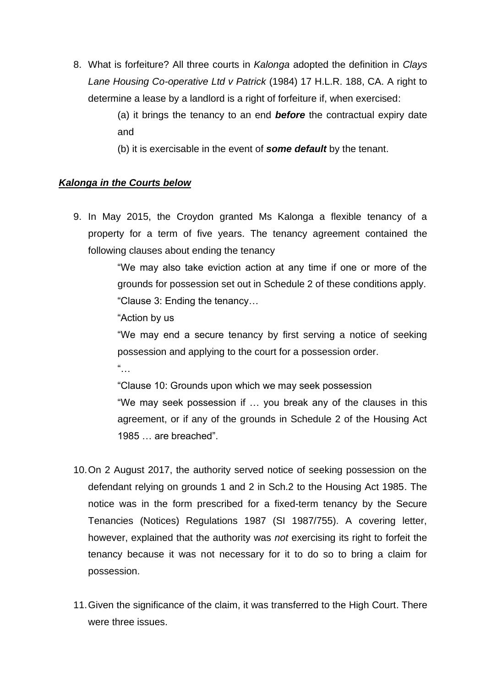8. What is forfeiture? All three courts in *Kalonga* adopted the definition in *Clays Lane Housing Co-operative Ltd v Patrick* (1984) 17 H.L.R. 188, CA. A right to determine a lease by a landlord is a right of forfeiture if, when exercised:

> (a) it brings the tenancy to an end *before* the contractual expiry date and

(b) it is exercisable in the event of *some default* by the tenant.

### *Kalonga in the Courts below*

9. In May 2015, the Croydon granted Ms Kalonga a flexible tenancy of a property for a term of five years. The tenancy agreement contained the following clauses about ending the tenancy

> "We may also take eviction action at any time if one or more of the grounds for possession set out in Schedule 2 of these conditions apply. "Clause 3: Ending the tenancy…

"Action by us

"We may end a secure tenancy by first serving a notice of seeking possession and applying to the court for a possession order.  $"$ …

"Clause 10: Grounds upon which we may seek possession "We may seek possession if … you break any of the clauses in this agreement, or if any of the grounds in Schedule 2 of the Housing Act 1985 … are breached".

- 10.On 2 August 2017, the authority served notice of seeking possession on the defendant relying on grounds 1 and 2 in Sch.2 to the Housing Act 1985. The notice was in the form prescribed for a fixed-term tenancy by the Secure Tenancies (Notices) Regulations 1987 (SI 1987/755). A covering letter, however, explained that the authority was *not* exercising its right to forfeit the tenancy because it was not necessary for it to do so to bring a claim for possession.
- 11.Given the significance of the claim, it was transferred to the High Court. There were three issues.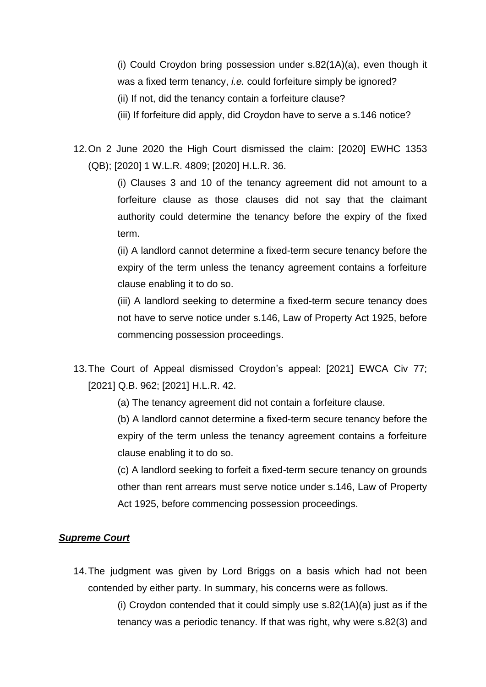(i) Could Croydon bring possession under s.82(1A)(a), even though it was a fixed term tenancy, *i.e.* could forfeiture simply be ignored? (ii) If not, did the tenancy contain a forfeiture clause?

(iii) If forfeiture did apply, did Croydon have to serve a s.146 notice?

12.On 2 June 2020 the High Court dismissed the claim: [2020] EWHC 1353 (QB); [2020] 1 W.L.R. 4809; [2020] H.L.R. 36.

> (i) Clauses 3 and 10 of the tenancy agreement did not amount to a forfeiture clause as those clauses did not say that the claimant authority could determine the tenancy before the expiry of the fixed term.

> (ii) A landlord cannot determine a fixed-term secure tenancy before the expiry of the term unless the tenancy agreement contains a forfeiture clause enabling it to do so.

> (iii) A landlord seeking to determine a fixed-term secure tenancy does not have to serve notice under s.146, Law of Property Act 1925, before commencing possession proceedings.

- 13.The Court of Appeal dismissed Croydon's appeal: [2021] EWCA Civ 77; [2021] Q.B. 962; [2021] H.L.R. 42.
	- (a) The tenancy agreement did not contain a forfeiture clause.

(b) A landlord cannot determine a fixed-term secure tenancy before the expiry of the term unless the tenancy agreement contains a forfeiture clause enabling it to do so.

(c) A landlord seeking to forfeit a fixed-term secure tenancy on grounds other than rent arrears must serve notice under s.146, Law of Property Act 1925, before commencing possession proceedings.

# *Supreme Court*

14.The judgment was given by Lord Briggs on a basis which had not been contended by either party. In summary, his concerns were as follows.

> (i) Croydon contended that it could simply use s.82(1A)(a) just as if the tenancy was a periodic tenancy. If that was right, why were s.82(3) and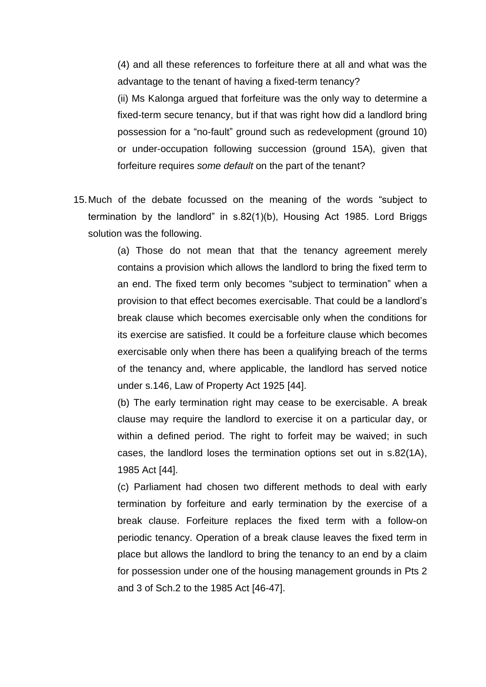(4) and all these references to forfeiture there at all and what was the advantage to the tenant of having a fixed-term tenancy?

(ii) Ms Kalonga argued that forfeiture was the only way to determine a fixed-term secure tenancy, but if that was right how did a landlord bring possession for a "no-fault" ground such as redevelopment (ground 10) or under-occupation following succession (ground 15A), given that forfeiture requires *some default* on the part of the tenant?

15.Much of the debate focussed on the meaning of the words "subject to termination by the landlord" in s.82(1)(b), Housing Act 1985. Lord Briggs solution was the following.

> (a) Those do not mean that that the tenancy agreement merely contains a provision which allows the landlord to bring the fixed term to an end. The fixed term only becomes "subject to termination" when a provision to that effect becomes exercisable. That could be a landlord's break clause which becomes exercisable only when the conditions for its exercise are satisfied. It could be a forfeiture clause which becomes exercisable only when there has been a qualifying breach of the terms of the tenancy and, where applicable, the landlord has served notice under s.146, Law of Property Act 1925 [44].

> (b) The early termination right may cease to be exercisable. A break clause may require the landlord to exercise it on a particular day, or within a defined period. The right to forfeit may be waived; in such cases, the landlord loses the termination options set out in s.82(1A), 1985 Act [44].

> (c) Parliament had chosen two different methods to deal with early termination by forfeiture and early termination by the exercise of a break clause. Forfeiture replaces the fixed term with a follow-on periodic tenancy. Operation of a break clause leaves the fixed term in place but allows the landlord to bring the tenancy to an end by a claim for possession under one of the housing management grounds in Pts 2 and 3 of Sch.2 to the 1985 Act [46-47].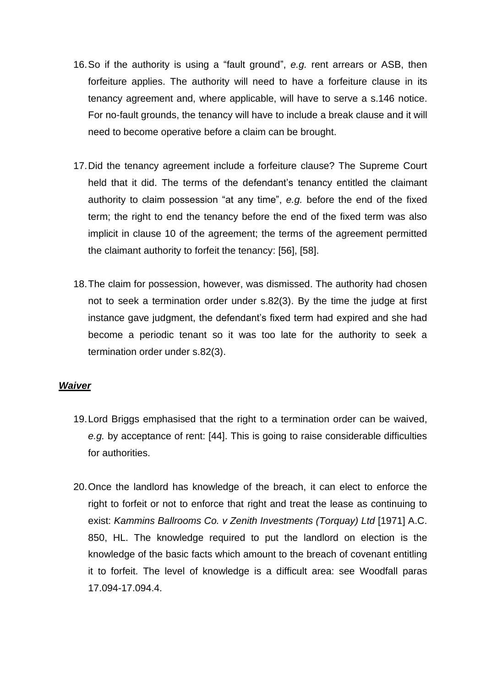- 16.So if the authority is using a "fault ground", *e.g.* rent arrears or ASB, then forfeiture applies. The authority will need to have a forfeiture clause in its tenancy agreement and, where applicable, will have to serve a s.146 notice. For no-fault grounds, the tenancy will have to include a break clause and it will need to become operative before a claim can be brought.
- 17.Did the tenancy agreement include a forfeiture clause? The Supreme Court held that it did. The terms of the defendant's tenancy entitled the claimant authority to claim possession "at any time", *e.g.* before the end of the fixed term; the right to end the tenancy before the end of the fixed term was also implicit in clause 10 of the agreement; the terms of the agreement permitted the claimant authority to forfeit the tenancy: [56], [58].
- 18.The claim for possession, however, was dismissed. The authority had chosen not to seek a termination order under s.82(3). By the time the judge at first instance gave judgment, the defendant's fixed term had expired and she had become a periodic tenant so it was too late for the authority to seek a termination order under s.82(3).

# *Waiver*

- 19.Lord Briggs emphasised that the right to a termination order can be waived, *e.g.* by acceptance of rent: [44]. This is going to raise considerable difficulties for authorities.
- 20.Once the landlord has knowledge of the breach, it can elect to enforce the right to forfeit or not to enforce that right and treat the lease as continuing to exist: Kammins Ballrooms Co. v Zenith Investments (Torquay) Ltd [1971] A.C. 850, HL. The knowledge required to put the landlord on election is the knowledge of the basic facts which amount to the breach of covenant entitling it to forfeit. The level of knowledge is a difficult area: see Woodfall paras 17.094-17.094.4.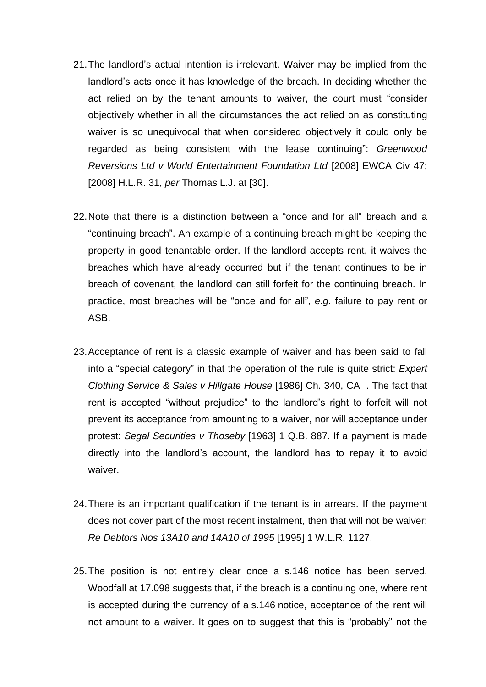- 21.The landlord's actual intention is irrelevant. Waiver may be implied from the landlord's acts once it has knowledge of the breach. In deciding whether the act relied on by the tenant amounts to waiver, the court must "consider objectively whether in all the circumstances the act relied on as constituting waiver is so unequivocal that when considered objectively it could only be regarded as being consistent with the lease continuing": *Greenwood Reversions Ltd v World Entertainment Foundation Ltd* [2008] EWCA Civ 47; [2008] H.L.R. 31, *per* Thomas L.J. at [30].
- 22.Note that there is a distinction between a "once and for all" breach and a "continuing breach". An example of a continuing breach might be keeping the property in good tenantable order. If the landlord accepts rent, it waives the breaches which have already occurred but if the tenant continues to be in breach of covenant, the landlord can still forfeit for the continuing breach. In practice, most breaches will be "once and for all", *e.g.* failure to pay rent or ASB.
- 23.Acceptance of rent is a classic example of waiver and has been said to fall into a "special category" in that the operation of the rule is quite strict: *Expert Clothing Service & Sales v Hillgate House* [1986] Ch. 340, CA . The fact that rent is accepted "without prejudice" to the landlord's right to forfeit will not prevent its acceptance from amounting to a waiver, nor will acceptance under protest: *Segal Securities v Thoseby* [1963] 1 Q.B. 887. If a payment is made directly into the landlord's account, the landlord has to repay it to avoid waiver.
- 24.There is an important qualification if the tenant is in arrears. If the payment does not cover part of the most recent instalment, then that will not be waiver: *Re Debtors Nos 13A10 and 14A10 of 1995* [1995] 1 W.L.R. 1127.
- 25.The position is not entirely clear once a s.146 notice has been served. Woodfall at 17.098 suggests that, if the breach is a continuing one, where rent is accepted during the currency of a s.146 notice, acceptance of the rent will not amount to a waiver. It goes on to suggest that this is "probably" not the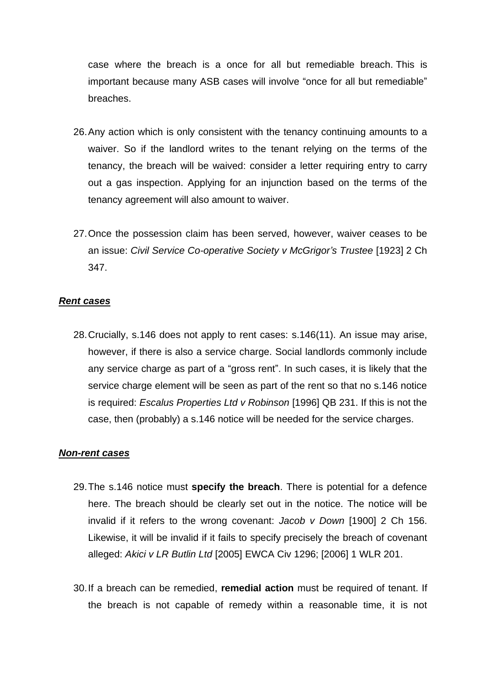case where the breach is a once for all but remediable breach. This is important because many ASB cases will involve "once for all but remediable" breaches.

- 26.Any action which is only consistent with the tenancy continuing amounts to a waiver. So if the landlord writes to the tenant relying on the terms of the tenancy, the breach will be waived: consider a letter requiring entry to carry out a gas inspection. Applying for an injunction based on the terms of the tenancy agreement will also amount to waiver.
- 27.Once the possession claim has been served, however, waiver ceases to be an issue: *Civil Service Co-operative Society v McGrigor's Trustee* [1923] 2 Ch 347.

#### *Rent cases*

28.Crucially, s.146 does not apply to rent cases: s.146(11). An issue may arise, however, if there is also a service charge. Social landlords commonly include any service charge as part of a "gross rent". In such cases, it is likely that the service charge element will be seen as part of the rent so that no s.146 notice is required: *Escalus Properties Ltd v Robinson* [1996] QB 231. If this is not the case, then (probably) a s.146 notice will be needed for the service charges.

#### *Non-rent cases*

- 29.The s.146 notice must **specify the breach**. There is potential for a defence here. The breach should be clearly set out in the notice. The notice will be invalid if it refers to the wrong covenant: *Jacob v Down* [1900] 2 Ch 156. Likewise, it will be invalid if it fails to specify precisely the breach of covenant alleged: *Akici v LR Butlin Ltd* [2005] EWCA Civ 1296; [2006] 1 WLR 201.
- 30.If a breach can be remedied, **remedial action** must be required of tenant. If the breach is not capable of remedy within a reasonable time, it is not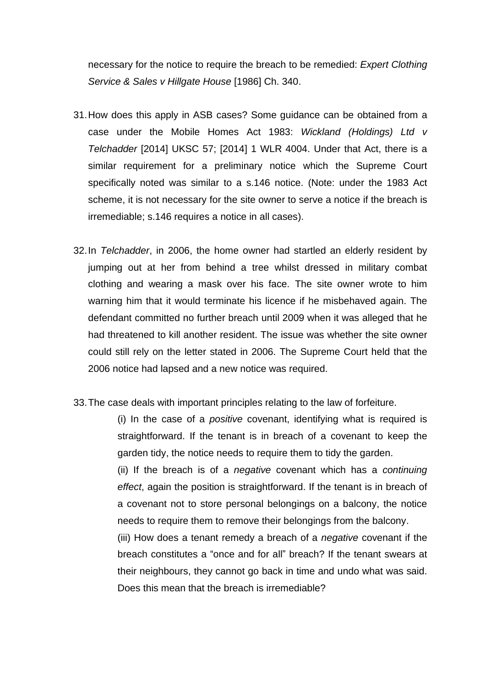necessary for the notice to require the breach to be remedied: *Expert Clothing Service & Sales v Hillgate House* [1986] Ch. 340.

- 31.How does this apply in ASB cases? Some guidance can be obtained from a case under the Mobile Homes Act 1983: *Wickland (Holdings) Ltd v Telchadder* [2014] UKSC 57; [2014] 1 WLR 4004. Under that Act, there is a similar requirement for a preliminary notice which the Supreme Court specifically noted was similar to a s.146 notice. (Note: under the 1983 Act scheme, it is not necessary for the site owner to serve a notice if the breach is irremediable; s.146 requires a notice in all cases).
- 32.In *Telchadder*, in 2006, the home owner had startled an elderly resident by jumping out at her from behind a tree whilst dressed in military combat clothing and wearing a mask over his face. The site owner wrote to him warning him that it would terminate his licence if he misbehaved again. The defendant committed no further breach until 2009 when it was alleged that he had threatened to kill another resident. The issue was whether the site owner could still rely on the letter stated in 2006. The Supreme Court held that the 2006 notice had lapsed and a new notice was required.
- 33.The case deals with important principles relating to the law of forfeiture.

(i) In the case of a *positive* covenant, identifying what is required is straightforward. If the tenant is in breach of a covenant to keep the garden tidy, the notice needs to require them to tidy the garden.

(ii) If the breach is of a *negative* covenant which has a *continuing effect*, again the position is straightforward. If the tenant is in breach of a covenant not to store personal belongings on a balcony, the notice needs to require them to remove their belongings from the balcony.

(iii) How does a tenant remedy a breach of a *negative* covenant if the breach constitutes a "once and for all" breach? If the tenant swears at their neighbours, they cannot go back in time and undo what was said. Does this mean that the breach is irremediable?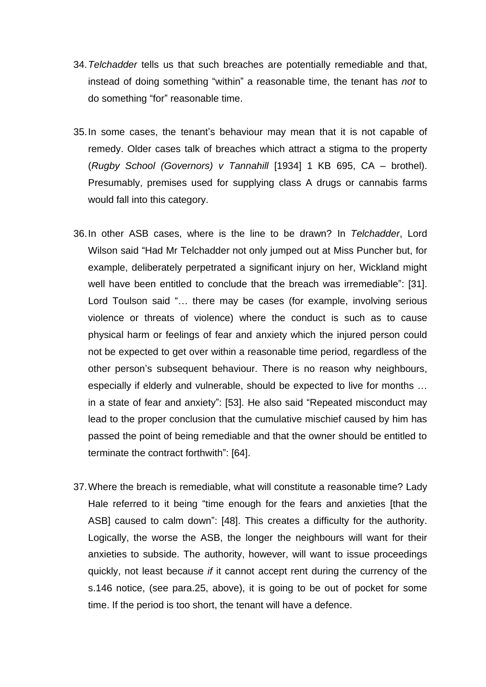- 34.*Telchadder* tells us that such breaches are potentially remediable and that, instead of doing something "within" a reasonable time, the tenant has *not* to do something "for" reasonable time.
- 35.In some cases, the tenant's behaviour may mean that it is not capable of remedy. Older cases talk of breaches which attract a stigma to the property (*Rugby School (Governors) v Tannahill* [1934] 1 KB 695, CA – brothel). Presumably, premises used for supplying class A drugs or cannabis farms would fall into this category.
- 36.In other ASB cases, where is the line to be drawn? In *Telchadder*, Lord Wilson said "Had Mr Telchadder not only jumped out at Miss Puncher but, for example, deliberately perpetrated a significant injury on her, Wickland might well have been entitled to conclude that the breach was irremediable": [31]. Lord Toulson said "… there may be cases (for example, involving serious violence or threats of violence) where the conduct is such as to cause physical harm or feelings of fear and anxiety which the injured person could not be expected to get over within a reasonable time period, regardless of the other person's subsequent behaviour. There is no reason why neighbours, especially if elderly and vulnerable, should be expected to live for months … in a state of fear and anxiety": [53]. He also said "Repeated misconduct may lead to the proper conclusion that the cumulative mischief caused by him has passed the point of being remediable and that the owner should be entitled to terminate the contract forthwith": [64].
- 37.Where the breach is remediable, what will constitute a reasonable time? Lady Hale referred to it being "time enough for the fears and anxieties [that the ASB] caused to calm down": [48]. This creates a difficulty for the authority. Logically, the worse the ASB, the longer the neighbours will want for their anxieties to subside. The authority, however, will want to issue proceedings quickly, not least because *if* it cannot accept rent during the currency of the s.146 notice, (see para.25, above), it is going to be out of pocket for some time. If the period is too short, the tenant will have a defence.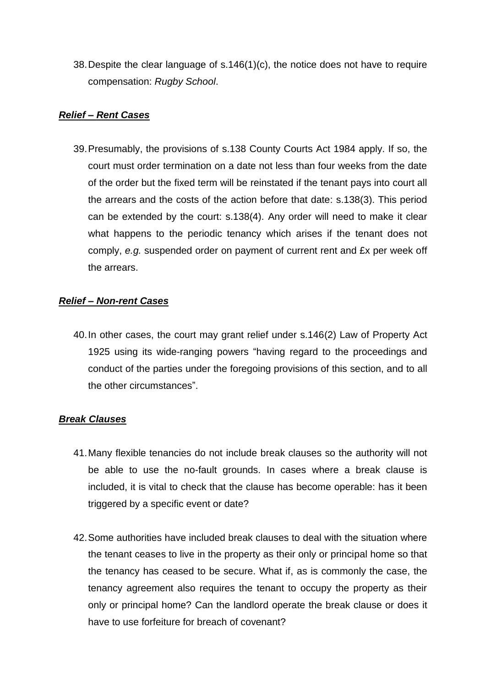38.Despite the clear language of s.146(1)(c), the notice does not have to require compensation: *Rugby School*.

# *Relief – Rent Cases*

39.Presumably, the provisions of s.138 County Courts Act 1984 apply. If so, the court must order termination on a date not less than four weeks from the date of the order but the fixed term will be reinstated if the tenant pays into court all the arrears and the costs of the action before that date: s.138(3). This period can be extended by the court: s.138(4). Any order will need to make it clear what happens to the periodic tenancy which arises if the tenant does not comply, *e.g.* suspended order on payment of current rent and £x per week off the arrears.

# *Relief – Non-rent Cases*

40.In other cases, the court may grant relief under s.146(2) Law of Property Act 1925 using its wide-ranging powers "having regard to the proceedings and conduct of the parties under the foregoing provisions of this section, and to all the other circumstances".

# *Break Clauses*

- 41.Many flexible tenancies do not include break clauses so the authority will not be able to use the no-fault grounds. In cases where a break clause is included, it is vital to check that the clause has become operable: has it been triggered by a specific event or date?
- 42.Some authorities have included break clauses to deal with the situation where the tenant ceases to live in the property as their only or principal home so that the tenancy has ceased to be secure. What if, as is commonly the case, the tenancy agreement also requires the tenant to occupy the property as their only or principal home? Can the landlord operate the break clause or does it have to use forfeiture for breach of covenant?